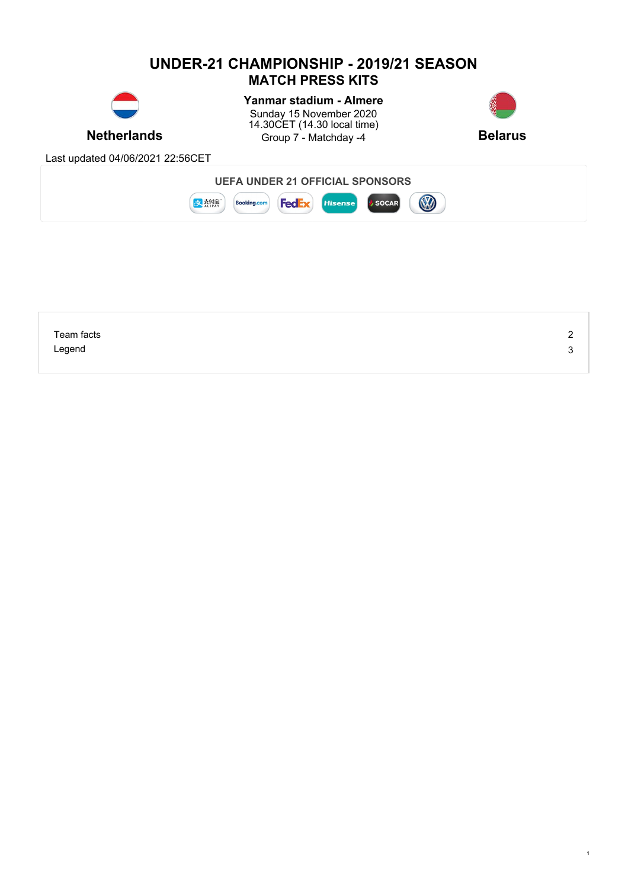

| Team facts | ←      |
|------------|--------|
| Legend     | ◠<br>ີ |
|            |        |

1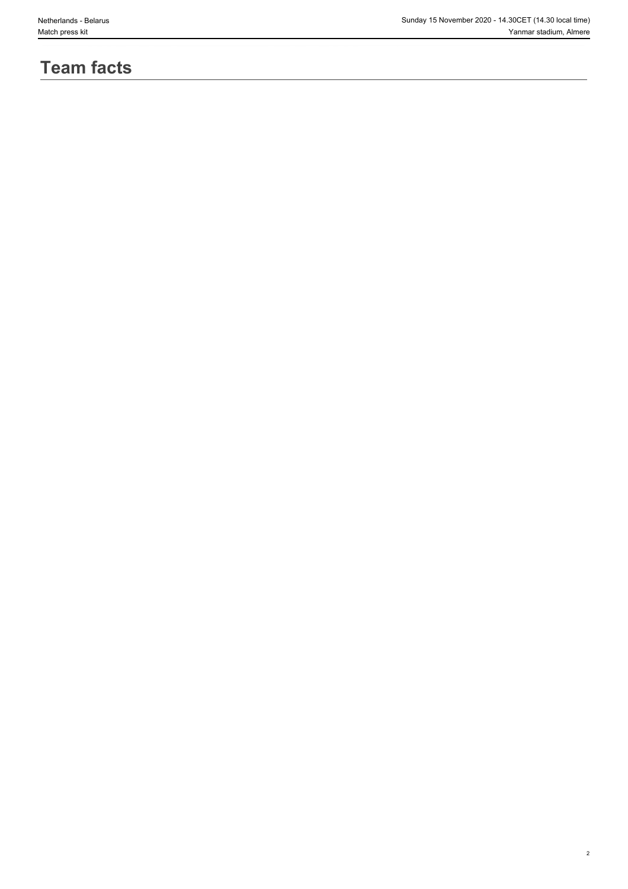2

# **Team facts**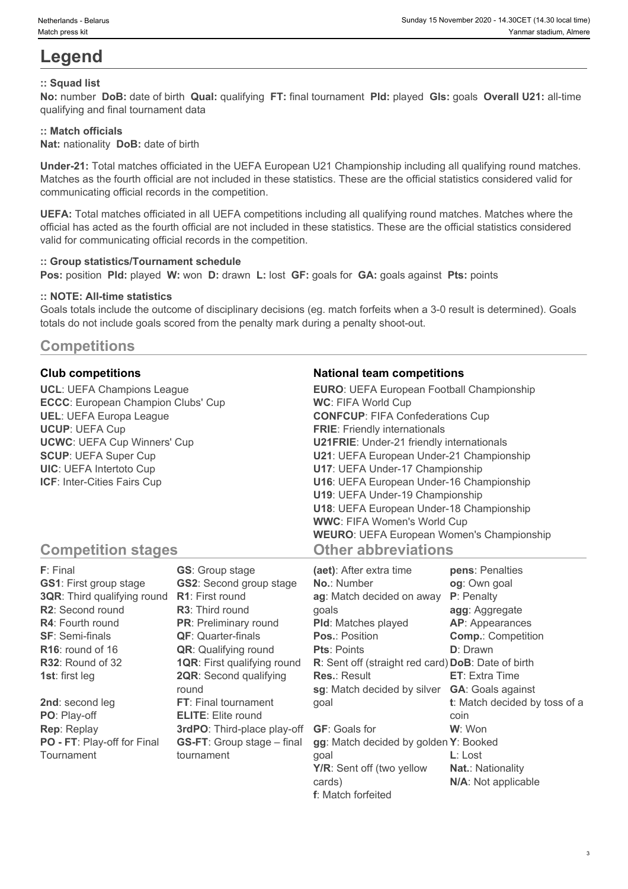# **Legend**

## **:: Squad list**

**No:** number **DoB:** date of birth **Qual:** qualifying **FT:** final tournament **Pld:** played **Gls:** goals **Overall U21:** all-time qualifying and final tournament data

## **:: Match officials**

**Nat:** nationality **DoB:** date of birth

**Under-21:** Total matches officiated in the UEFA European U21 Championship including all qualifying round matches. Matches as the fourth official are not included in these statistics. These are the official statistics considered valid for communicating official records in the competition.

**UEFA:** Total matches officiated in all UEFA competitions including all qualifying round matches. Matches where the official has acted as the fourth official are not included in these statistics. These are the official statistics considered valid for communicating official records in the competition.

### **:: Group statistics/Tournament schedule**

**Pos:** position **Pld:** played **W:** won **D:** drawn **L:** lost **GF:** goals for **GA:** goals against **Pts:** points

### **:: NOTE: All-time statistics**

Goals totals include the outcome of disciplinary decisions (eg. match forfeits when a 3-0 result is determined). Goals totals do not include goals scored from the penalty mark during a penalty shoot-out.

# **Competitions**

**UCL**: UEFA Champions League **ECCC**: European Champion Clubs' Cup **UEL**: UEFA Europa League **UCUP**: UEFA Cup **UCWC**: UEFA Cup Winners' Cup **SCUP**: UEFA Super Cup **UIC**: UEFA Intertoto Cup **ICF**: Inter-Cities Fairs Cup

### **Club competitions National team competitions**

| <b>EURO:</b> UEFA European Football Championship |  |
|--------------------------------------------------|--|
| <b>WC: FIFA World Cup</b>                        |  |
| <b>CONFCUP: FIFA Confederations Cup</b>          |  |
| <b>FRIE:</b> Friendly internationals             |  |
| <b>U21FRIE:</b> Under-21 friendly internationals |  |
| U21: UEFA European Under-21 Championship         |  |
| U17: UEFA Under-17 Championship                  |  |
| U16: UEFA European Under-16 Championship         |  |
| U19: UEFA Under-19 Championship                  |  |
| U18: UEFA European Under-18 Championship         |  |
| <b>WWC: FIFA Women's World Cup</b>               |  |
| <b>WEURO: UEFA European Women's Championship</b> |  |
| <b>Other abbreviations</b>                       |  |

# **Competition stages**

| F: Final                           | <b>GS:</b> Group stage             | (aet): After extra time                            | pens: Penalties               |
|------------------------------------|------------------------------------|----------------------------------------------------|-------------------------------|
| <b>GS1: First group stage</b>      | <b>GS2:</b> Second group stage     | <b>No.: Number</b>                                 | og: Own goal                  |
| <b>3QR:</b> Third qualifying round | <b>R1:</b> First round             | ag: Match decided on away                          | P: Penalty                    |
| <b>R2:</b> Second round            | <b>R3:</b> Third round             | qoals                                              | agg: Aggregate                |
| <b>R4:</b> Fourth round            | <b>PR:</b> Preliminary round       | <b>PId:</b> Matches played                         | <b>AP:</b> Appearances        |
| <b>SF: Semi-finals</b>             | <b>QF:</b> Quarter-finals          | <b>Pos.: Position</b>                              | <b>Comp.: Competition</b>     |
| $R16$ : round of 16                | <b>QR:</b> Qualifying round        | <b>Pts: Points</b>                                 | <b>D</b> : Drawn              |
| R32: Round of 32                   | <b>1QR:</b> First qualifying round | R: Sent off (straight red card) DoB: Date of birth |                               |
| <b>1st:</b> first leg              | <b>2QR:</b> Second qualifying      | <b>Res.: Result</b>                                | <b>ET:</b> Extra Time         |
|                                    | round                              | sg: Match decided by silver                        | <b>GA: Goals against</b>      |
| 2nd: second leg                    | <b>FT:</b> Final tournament        | qoal                                               | t: Match decided by toss of a |
| PO: Play-off                       | <b>ELITE:</b> Elite round          |                                                    | coin                          |
| <b>Rep: Replay</b>                 | 3rdPO: Third-place play-off        | <b>GF:</b> Goals for                               | W: Won                        |
| PO - FT: Play-off for Final        | <b>GS-FT:</b> Group stage – final  | gg: Match decided by golden Y: Booked              |                               |
| Tournament                         | tournament                         | qoal                                               | <b>L</b> : Lost               |
|                                    |                                    | Y/R: Sent off (two yellow                          | <b>Nat.: Nationality</b>      |
|                                    |                                    | cards)                                             | N/A: Not applicable           |

**f**: Match forfeited